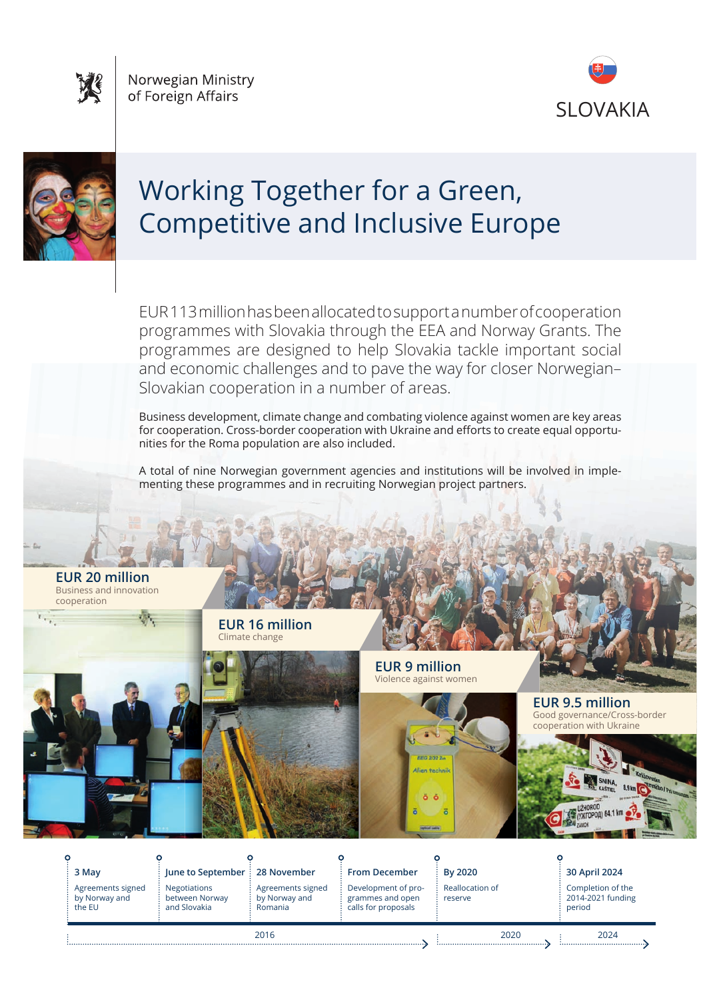Norwegian Ministry of Foreign Affairs





# Working Together for a Green, Competitive and Inclusive Europe

EUR 113 million has been allocated to support a number of cooperation programmes with Slovakia through the EEA and Norway Grants. The programmes are designed to help Slovakia tackle important social and economic challenges and to pave the way for closer Norwegian– Slovakian cooperation in a number of areas.

Business development, climate change and combating violence against women are key areas for cooperation. Cross-border cooperation with Ukraine and efforts to create equal opportunities for the Roma population are also included.

A total of nine Norwegian government agencies and institutions will be involved in implementing these programmes and in recruiting Norwegian project partners.

**EUR 20 million**  Business and innovation cooperation

> **EUR 16 million**  Climate change



**EUR 9 million**  Violence against women



**EUR 9.5 million**  Good governance/Cross-border neration with Ukraine

**3 May** Agreements signed by Norway and

the EU

 $\Omega$ 

**June to September**

Negotiations between Norway and Slovakia

**28 November**  Agreements signed by Norway and Romania

**From December** 

Development of programmes and open calls for proposals

**By 2020** Reallocation of reserve

**30 April 2024** Completion of the 2014-2021 funding period

2016 2020 2024